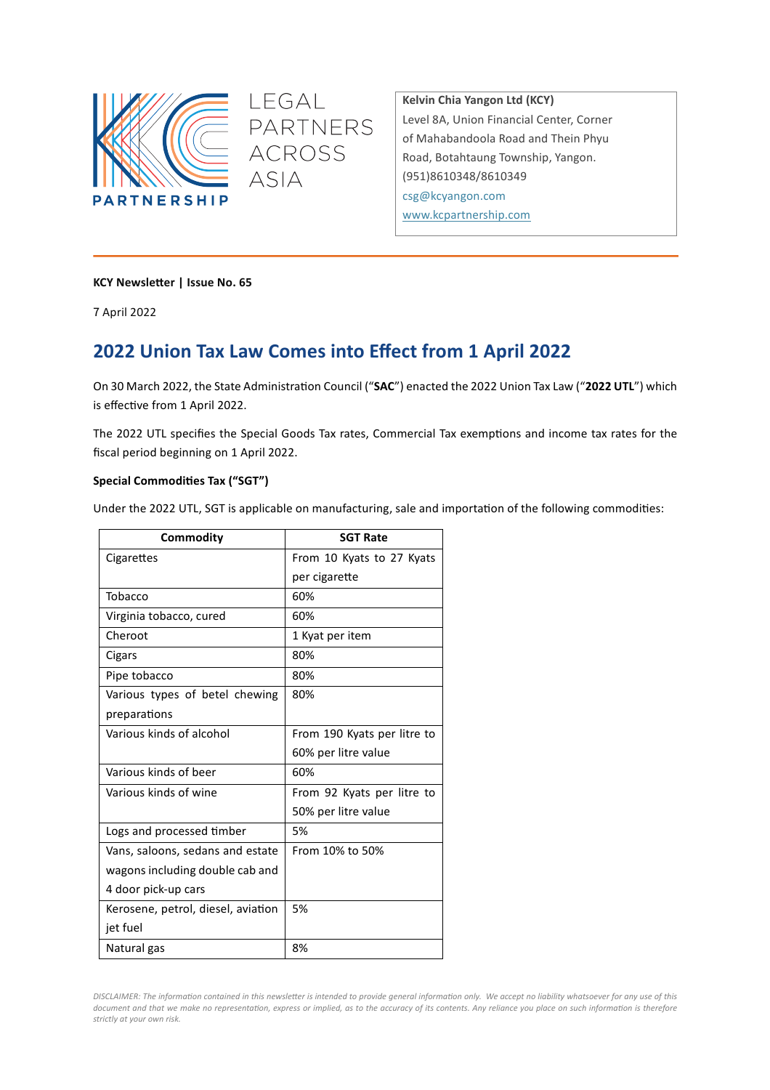

**Kelvin Chia Yangon Ltd (KCY)** Level 8A, Union Financial Center, Corner of Mahabandoola Road and Thein Phyu Road, Botahtaung Township, Yangon. (951)8610348/8610349 csg@kcyangon.com www.kcpartnership.com

### **KCY Newsletter | Issue No. 65**

7 April 2022

# **2022 Union Tax Law Comes into Effect from 1 April 2022**

LEGAL

**ACROSS** 

**ASIA** 

PARTNERS

On 30 March 2022, the State Administration Council ("SAC") enacted the 2022 Union Tax Law ("2022 UTL") which is effective from 1 April 2022.

The 2022 UTL specifies the Special Goods Tax rates, Commercial Tax exemptions and income tax rates for the fiscal period beginning on 1 April 2022.

#### **Special Commodities Tax ("SGT")**

Under the 2022 UTL, SGT is applicable on manufacturing, sale and importation of the following commodities:

| Commodity                          | <b>SGT Rate</b>             |  |  |
|------------------------------------|-----------------------------|--|--|
| Cigarettes                         | From 10 Kyats to 27 Kyats   |  |  |
|                                    | per cigarette               |  |  |
| Tobacco                            | 60%                         |  |  |
| Virginia tobacco, cured            | 60%                         |  |  |
| Cheroot                            | 1 Kyat per item             |  |  |
| Cigars                             | 80%                         |  |  |
| Pipe tobacco                       | 80%                         |  |  |
| Various types of betel chewing     | 80%                         |  |  |
| preparations                       |                             |  |  |
| Various kinds of alcohol           | From 190 Kyats per litre to |  |  |
|                                    | 60% per litre value         |  |  |
| Various kinds of beer              | 60%                         |  |  |
| Various kinds of wine              | From 92 Kyats per litre to  |  |  |
|                                    | 50% per litre value         |  |  |
| Logs and processed timber          | 5%                          |  |  |
| Vans, saloons, sedans and estate   | From 10% to 50%             |  |  |
| wagons including double cab and    |                             |  |  |
| 4 door pick-up cars                |                             |  |  |
| Kerosene, petrol, diesel, aviation | 5%                          |  |  |
| jet fuel                           |                             |  |  |
| Natural gas                        | 8%                          |  |  |

DISCLAIMER: The information contained in this newsletter is intended to provide general information only. We accept no liability whatsoever for any use of this *document and that we make no representation, express or implied, as to the accuracy of its contents. Any reliance you place on such information is therefore strictly at your own risk.*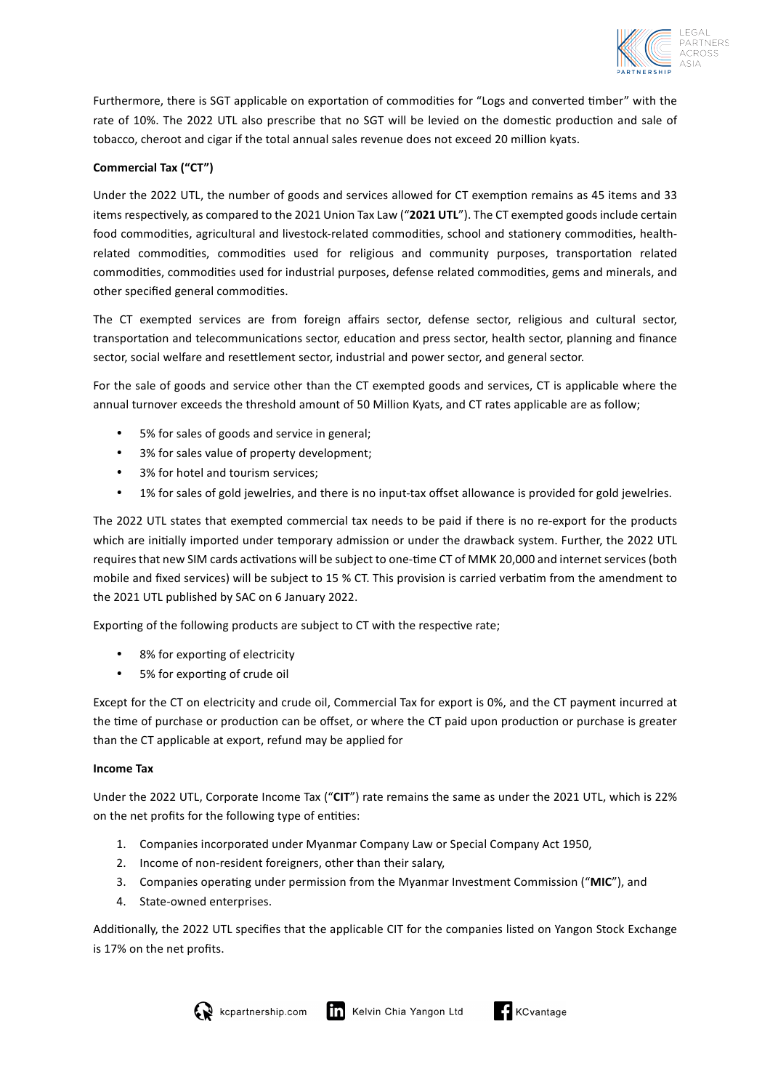

Furthermore, there is SGT applicable on exportation of commodities for "Logs and converted timber" with the rate of 10%. The 2022 UTL also prescribe that no SGT will be levied on the domestic production and sale of tobacco, cheroot and cigar if the total annual sales revenue does not exceed 20 million kyats.

## Commercial Tax ("CT")

Under the 2022 UTL, the number of goods and services allowed for CT exemption remains as 45 items and 33 items respectively, as compared to the 2021 Union Tax Law ("2021 UTL"). The CT exempted goods include certain food commodities, agricultural and livestock-related commodities, school and stationery commodities, healthrelated commodities, commodities used for religious and community purposes, transportation related commodities, commodities used for industrial purposes, defense related commodities, gems and minerals, and other specified general commodities.

The CT exempted services are from foreign affairs sector, defense sector, religious and cultural sector, transportation and telecommunications sector, education and press sector, health sector, planning and finance sector, social welfare and resettlement sector, industrial and power sector, and general sector.

For the sale of goods and service other than the CT exempted goods and services, CT is applicable where the annual turnover exceeds the threshold amount of 50 Million Kyats, and CT rates applicable are as follow;

- 5% for sales of goods and service in general;
- 3% for sales value of property development;
- 3% for hotel and tourism services:
- 1% for sales of gold jewelries, and there is no input-tax offset allowance is provided for gold jewelries.

The 2022 UTL states that exempted commercial tax needs to be paid if there is no re-export for the products which are initially imported under temporary admission or under the drawback system. Further, the 2022 UTL requires that new SIM cards activations will be subject to one-time CT of MMK 20,000 and internet services (both mobile and fixed services) will be subject to 15 % CT. This provision is carried verbatim from the amendment to the 2021 UTL published by SAC on 6 January 2022.

Exporting of the following products are subject to CT with the respective rate;

- 8% for exporting of electricity
- 5% for exporting of crude oil

Except for the CT on electricity and crude oil, Commercial Tax for export is 0%, and the CT payment incurred at the time of purchase or production can be offset, or where the CT paid upon production or purchase is greater than the CT applicable at export, refund may be applied for

#### **Income Tax**

Under the 2022 UTL, Corporate Income Tax ("CIT") rate remains the same as under the 2021 UTL, which is 22% on the net profits for the following type of entities:

- 1. Companies incorporated under Myanmar Company Law or Special Company Act 1950,
- 2. Income of non-resident foreigners, other than their salary,
- 3. Companies operating under permission from the Myanmar Investment Commission ("MIC"), and
- 4. State-owned enterprises.

Additionally, the 2022 UTL specifies that the applicable CIT for the companies listed on Yangon Stock Exchange is 17% on the net profits.



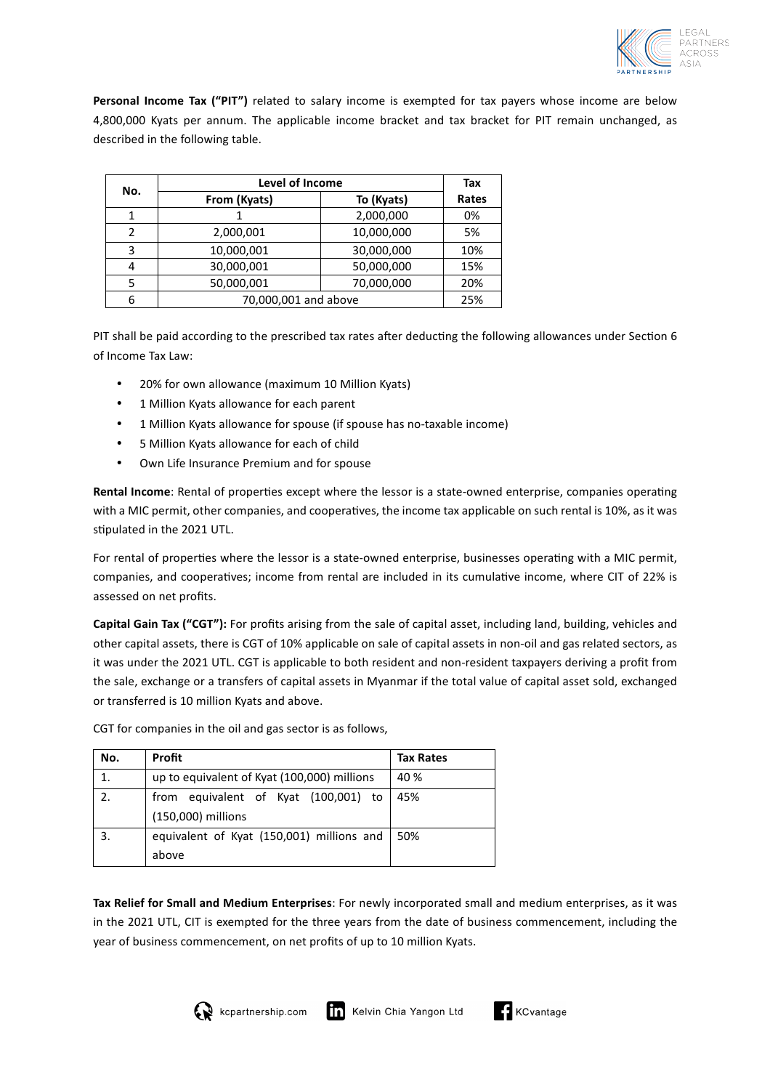

**Personal Income Tax ("PIT")** related to salary income is exempted for tax payers whose income are below 4,800,000 Kyats per annum. The applicable income bracket and tax bracket for PIT remain unchanged, as described in the following table.

| No. | Level of Income      | Tax        |       |
|-----|----------------------|------------|-------|
|     | From (Kyats)         | To (Kyats) | Rates |
|     |                      | 2,000,000  | 0%    |
| C   | 2,000,001            | 10,000,000 | 5%    |
| ς   | 10,000,001           | 30,000,000 | 10%   |
| Δ   | 30,000,001           | 50,000,000 | 15%   |
|     | 50,000,001           | 70,000,000 | 20%   |
| 6   | 70,000,001 and above |            | 25%   |

PIT shall be paid according to the prescribed tax rates after deducting the following allowances under Section 6 of Income Tax Law:

- 20% for own allowance (maximum 10 Million Kyats)
- 1 Million Kyats allowance for each parent
- 1 Million Kyats allowance for spouse (if spouse has no-taxable income)
- 5 Million Kyats allowance for each of child
- Own Life Insurance Premium and for spouse

**Rental Income**: Rental of properties except where the lessor is a state-owned enterprise, companies operating with a MIC permit, other companies, and cooperatives, the income tax applicable on such rental is 10%, as it was stipulated in the 2021 UTL.

For rental of properties where the lessor is a state-owned enterprise, businesses operating with a MIC permit, companies, and cooperatives; income from rental are included in its cumulative income, where CIT of 22% is assessed on net profits.

Capital Gain Tax ("CGT"): For profits arising from the sale of capital asset, including land, building, vehicles and other capital assets, there is CGT of 10% applicable on sale of capital assets in non-oil and gas related sectors, as it was under the 2021 UTL. CGT is applicable to both resident and non-resident taxpayers deriving a profit from the sale, exchange or a transfers of capital assets in Myanmar if the total value of capital asset sold, exchanged or transferred is 10 million Kyats and above.

| No. | Profit                                      | <b>Tax Rates</b> |
|-----|---------------------------------------------|------------------|
| 1.  | up to equivalent of Kyat (100,000) millions | 40 %             |
| 2.  | from equivalent of Kyat (100,001) to        | 45%              |
|     | (150,000) millions                          |                  |
|     | equivalent of Kyat (150,001) millions and   | 50%              |
|     | above                                       |                  |

CGT for companies in the oil and gas sector is as follows,

Tax Relief for Small and Medium Enterprises: For newly incorporated small and medium enterprises, as it was in the 2021 UTL, CIT is exempted for the three years from the date of business commencement, including the year of business commencement, on net profits of up to 10 million Kyats.



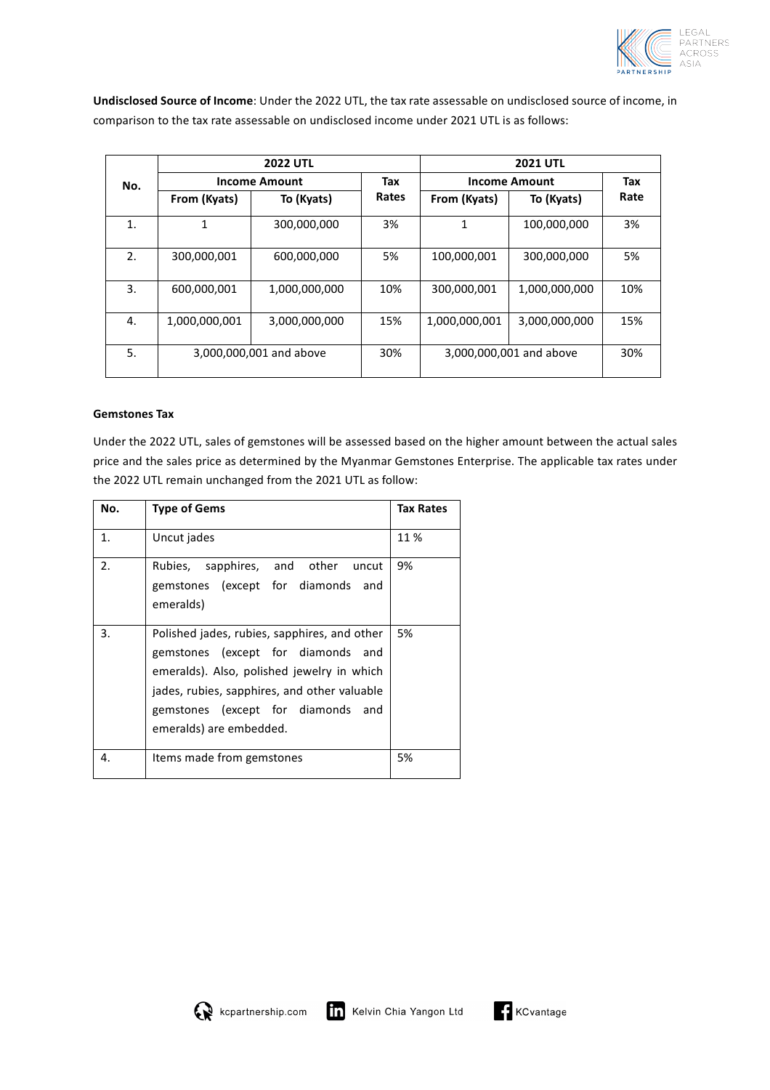

Undisclosed Source of Income: Under the 2022 UTL, the tax rate assessable on undisclosed source of income, in comparison to the tax rate assessable on undisclosed income under 2021 UTL is as follows:

|     | <b>2022 UTL</b>         |               | <b>2021 UTL</b> |                         |               |      |
|-----|-------------------------|---------------|-----------------|-------------------------|---------------|------|
| No. | <b>Income Amount</b>    |               | Tax             | <b>Income Amount</b>    |               | Tax  |
|     | From (Kyats)            | To (Kyats)    | Rates           | From (Kyats)            | To (Kyats)    | Rate |
| 1.  | 1                       | 300,000,000   | 3%              | 1                       | 100,000,000   | 3%   |
| 2.  | 300,000,001             | 600,000,000   | 5%              | 100,000,001             | 300,000,000   | 5%   |
| 3.  | 600,000,001             | 1,000,000,000 | 10%             | 300,000,001             | 1,000,000,000 | 10%  |
| 4.  | 1,000,000,001           | 3,000,000,000 | 15%             | 1,000,000,001           | 3,000,000,000 | 15%  |
| 5.  | 3,000,000,001 and above |               | 30%             | 3,000,000,001 and above |               | 30%  |

#### **Gemstones Tax**

Under the 2022 UTL, sales of gemstones will be assessed based on the higher amount between the actual sales price and the sales price as determined by the Myanmar Gemstones Enterprise. The applicable tax rates under the 2022 UTL remain unchanged from the 2021 UTL as follow:

| No. | <b>Type of Gems</b>                                                                                                                                                                                                                               | <b>Tax Rates</b> |
|-----|---------------------------------------------------------------------------------------------------------------------------------------------------------------------------------------------------------------------------------------------------|------------------|
| 1.  | Uncut jades                                                                                                                                                                                                                                       | 11 %             |
| 2.  | Rubies, sapphires, and other uncut<br>gemstones (except for diamonds and<br>emeralds)                                                                                                                                                             | 9%               |
| 3.  | Polished jades, rubies, sapphires, and other<br>gemstones (except for diamonds and<br>emeralds). Also, polished jewelry in which<br>jades, rubies, sapphires, and other valuable<br>gemstones (except for diamonds and<br>emeralds) are embedded. | 5%               |
| 4.  | Items made from gemstones                                                                                                                                                                                                                         | 5%               |

$$
\textbf{G}_{\text{KCvantage}}
$$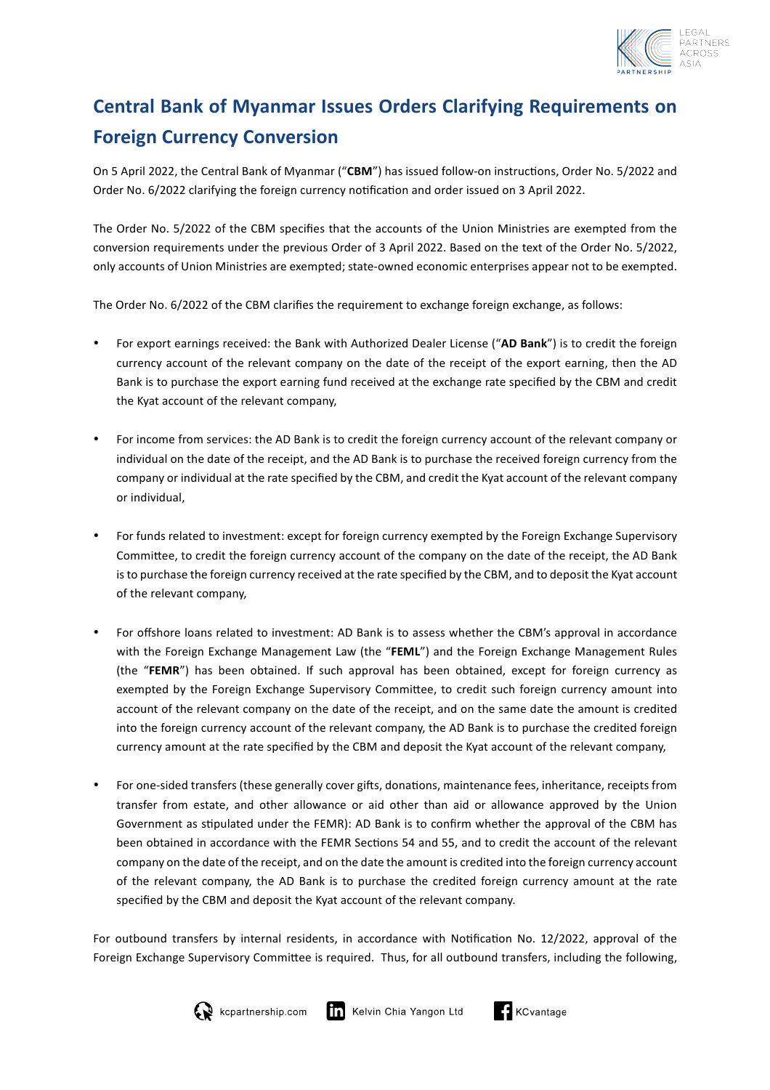

# **Central Bank of Myanmar Issues Orders Clarifying Requirements on Foreign Currency Conversion**

On 5 April 2022, the Central Bank of Myanmar ("CBM") has issued follow-on instructions, Order No. 5/2022 and Order No. 6/2022 clarifying the foreign currency notification and order issued on 3 April 2022.

The Order No. 5/2022 of the CBM specifies that the accounts of the Union Ministries are exempted from the conversion requirements under the previous Order of 3 April 2022. Based on the text of the Order No. 5/2022, only accounts of Union Ministries are exempted; state-owned economic enterprises appear not to be exempted.

The Order No. 6/2022 of the CBM clarifies the requirement to exchange foreign exchange, as follows:

- For export earnings received: the Bank with Authorized Dealer License ("AD Bank") is to credit the foreign currency account of the relevant company on the date of the receipt of the export earning, then the AD Bank is to purchase the export earning fund received at the exchange rate specified by the CBM and credit the Kyat account of the relevant company,
- For income from services: the AD Bank is to credit the foreign currency account of the relevant company or individual on the date of the receipt, and the AD Bank is to purchase the received foreign currency from the company or individual at the rate specified by the CBM, and credit the Kyat account of the relevant company or individual,
- For funds related to investment: except for foreign currency exempted by the Foreign Exchange Supervisory Committee, to credit the foreign currency account of the company on the date of the receipt, the AD Bank is to purchase the foreign currency received at the rate specified by the CBM, and to deposit the Kyat account of the relevant company,
- For offshore loans related to investment: AD Bank is to assess whether the CBM's approval in accordance with the Foreign Exchange Management Law (the "FEML") and the Foreign Exchange Management Rules (the "FEMR") has been obtained. If such approval has been obtained, except for foreign currency as exempted by the Foreign Exchange Supervisory Committee, to credit such foreign currency amount into account of the relevant company on the date of the receipt, and on the same date the amount is credited into the foreign currency account of the relevant company, the AD Bank is to purchase the credited foreign currency amount at the rate specified by the CBM and deposit the Kyat account of the relevant company,
- For one-sided transfers (these generally cover gifts, donations, maintenance fees, inheritance, receipts from transfer from estate, and other allowance or aid other than aid or allowance approved by the Union Government as stipulated under the FEMR): AD Bank is to confirm whether the approval of the CBM has been obtained in accordance with the FEMR Sections 54 and 55, and to credit the account of the relevant company on the date of the receipt, and on the date the amount is credited into the foreign currency account of the relevant company, the AD Bank is to purchase the credited foreign currency amount at the rate specified by the CBM and deposit the Kyat account of the relevant company.

For outbound transfers by internal residents, in accordance with Notification No. 12/2022, approval of the Foreign Exchange Supervisory Committee is required. Thus, for all outbound transfers, including the following,



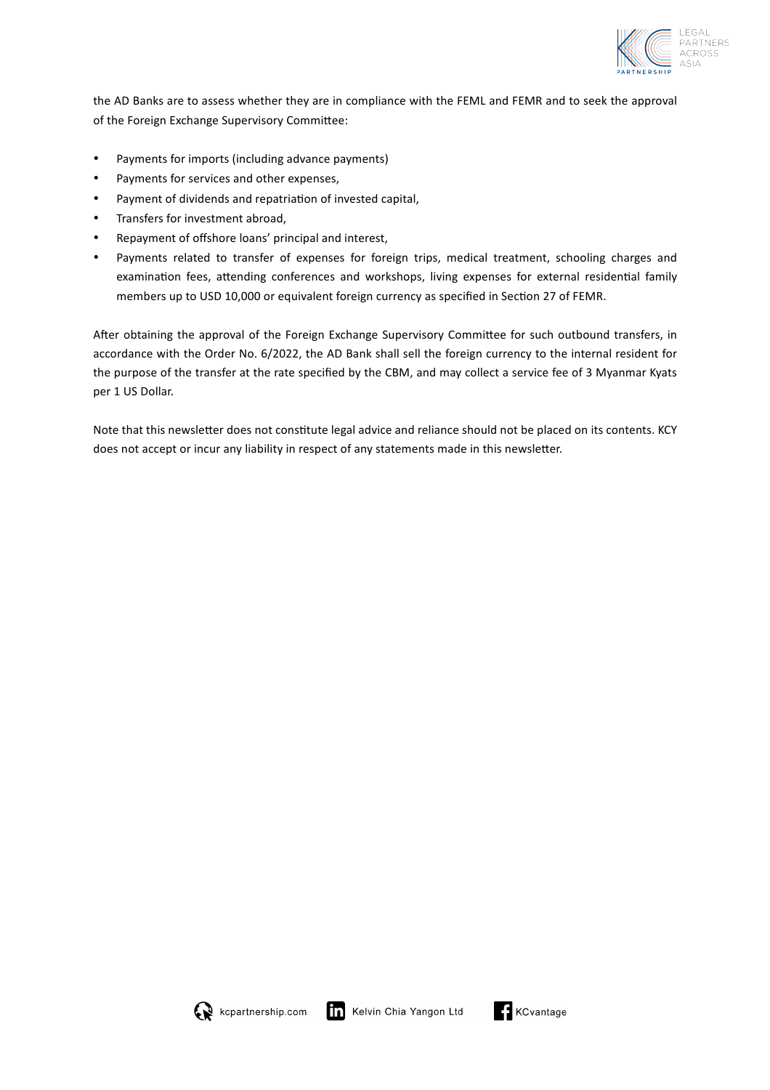

the AD Banks are to assess whether they are in compliance with the FEML and FEMR and to seek the approval of the Foreign Exchange Supervisory Committee:

- Payments for imports (including advance payments)
- Payments for services and other expenses,
- Payment of dividends and repatriation of invested capital,
- Transfers for investment abroad,
- Repayment of offshore loans' principal and interest,
- Payments related to transfer of expenses for foreign trips, medical treatment, schooling charges and examination fees, attending conferences and workshops, living expenses for external residential family members up to USD 10,000 or equivalent foreign currency as specified in Section 27 of FEMR.

After obtaining the approval of the Foreign Exchange Supervisory Committee for such outbound transfers, in accordance with the Order No. 6/2022, the AD Bank shall sell the foreign currency to the internal resident for the purpose of the transfer at the rate specified by the CBM, and may collect a service fee of 3 Myanmar Kyats per 1 US Dollar.

Note that this newsletter does not constitute legal advice and reliance should not be placed on its contents. KCY does not accept or incur any liability in respect of any statements made in this newsletter.



$$
\bigcap_{i=1}^{n} \textsf{KCvantage}
$$